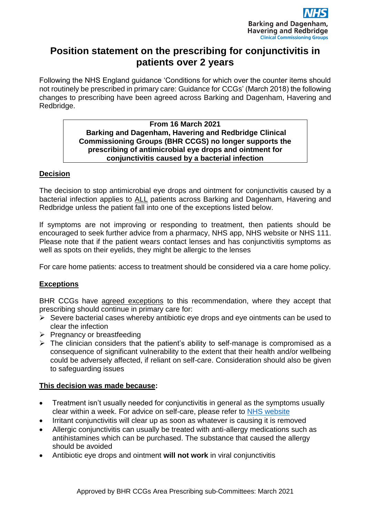

# **Position statement on the prescribing for conjunctivitis in patients over 2 years**

Following the NHS England guidance 'Conditions for which over the counter items should not routinely be prescribed in primary care: Guidance for CCGs' (March 2018) the following changes to prescribing have been agreed across Barking and Dagenham, Havering and Redbridge.

### **From 16 March 2021 Barking and Dagenham, Havering and Redbridge Clinical Commissioning Groups (BHR CCGS) no longer supports the prescribing of antimicrobial eye drops and ointment for conjunctivitis caused by a bacterial infection**

## **Decision**

The decision to stop antimicrobial eye drops and ointment for conjunctivitis caused by a bacterial infection applies to ALL patients across Barking and Dagenham, Havering and Redbridge unless the patient fall into one of the exceptions listed below.

If symptoms are not improving or responding to treatment, then patients should be encouraged to seek further advice from a pharmacy, NHS app, NHS website or NHS 111. Please note that if the patient wears contact lenses and has conjunctivitis symptoms as well as spots on their eyelids, they might be allergic to the lenses

For care home patients: access to treatment should be considered via a care home policy.

## **Exceptions**

BHR CCGs have agreed exceptions to this recommendation, where they accept that prescribing should continue in primary care for:

- $\triangleright$  Severe bacterial cases whereby antibiotic eye drops and eye ointments can be used to clear the infection
- ➢ Pregnancy or breastfeeding
- $\triangleright$  The clinician considers that the patient's ability to self-manage is compromised as a consequence of significant vulnerability to the extent that their health and/or wellbeing could be adversely affected, if reliant on self-care. Consideration should also be given to safeguarding issues

## **This decision was made because:**

- Treatment isn't usually needed for conjunctivitis in general as the symptoms usually clear within a week. For advice on self-care, please refer to [NHS website](https://www.nhs.uk/conditions/conjunctivitis/)
- Irritant conjunctivitis will clear up as soon as whatever is causing it is removed
- Allergic conjunctivitis can usually be treated with anti-allergy medications such as antihistamines which can be purchased. The substance that caused the allergy should be avoided
- Antibiotic eye drops and ointment **will not work** in viral conjunctivitis